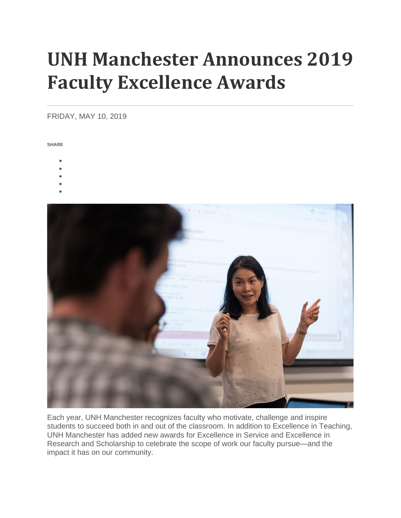# **UNH Manchester Announces 2019 Faculty Excellence Awards**

## FRIDAY, MAY 10, 2019

**SHARE**

- •
- •
- •
- •
- •



Each year, UNH Manchester recognizes faculty who motivate, challenge and inspire students to succeed both in and out of the classroom. In addition to Excellence in Teaching, UNH Manchester has added new awards for Excellence in Service and Excellence in Research and Scholarship to celebrate the scope of work our faculty pursue—and the impact it has on our community.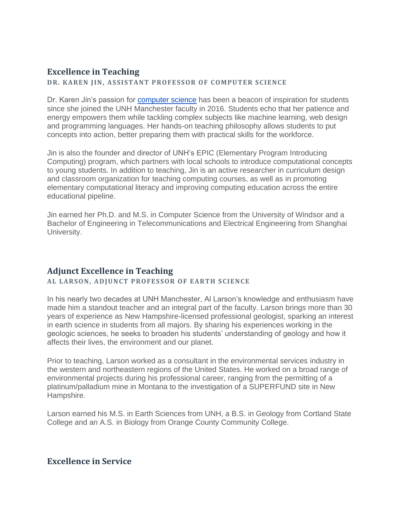# **Excellence in Teaching**

**DR. KAREN JIN, ASSISTANT PROFESSOR OF COMPUTER SCIENCE** 

Dr. Karen Jin's passion for [computer science](https://manchester.unh.edu/program/ba/computer-science) has been a beacon of inspiration for students since she joined the UNH Manchester faculty in 2016. Students echo that her patience and energy empowers them while tackling complex subjects like machine learning, web design and programming languages. Her hands-on teaching philosophy allows students to put concepts into action, better preparing them with practical skills for the workforce.

Jin is also the founder and director of UNH's EPIC (Elementary Program Introducing Computing) program, which partners with local schools to introduce computational concepts to young students. In addition to teaching, Jin is an active researcher in curriculum design and classroom organization for teaching computing courses, as well as in promoting elementary computational literacy and improving computing education across the entire educational pipeline.

Jin earned her Ph.D. and M.S. in Computer Science from the University of Windsor and a Bachelor of Engineering in Telecommunications and Electrical Engineering from Shanghai University.

# **Adjunct Excellence in Teaching**

## AL LARSON, ADJUNCT PROFESSOR OF EARTH SCIENCE

In his nearly two decades at UNH Manchester, Al Larson's knowledge and enthusiasm have made him a standout teacher and an integral part of the faculty. Larson brings more than 30 years of experience as New Hampshire-licensed professional geologist, sparking an interest in earth science in students from all majors. By sharing his experiences working in the geologic sciences, he seeks to broaden his students' understanding of geology and how it affects their lives, the environment and our planet.

Prior to teaching, Larson worked as a consultant in the environmental services industry in the western and northeastern regions of the United States. He worked on a broad range of environmental projects during his professional career, ranging from the permitting of a platinum/palladium mine in Montana to the investigation of a SUPERFUND site in New Hampshire.

Larson earned his M.S. in Earth Sciences from UNH, a B.S. in Geology from Cortland State College and an A.S. in Biology from Orange County Community College.

# **Excellence in Service**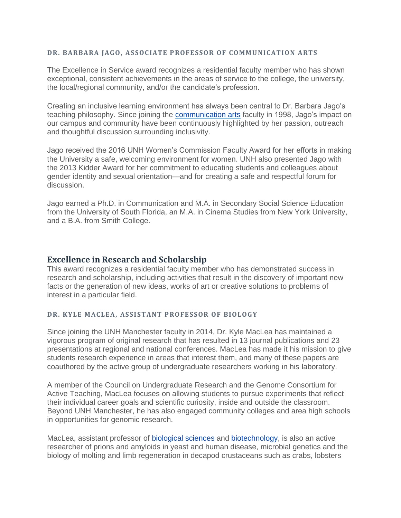#### **DR. BARBARA JAGO, ASSOCIATE PROFESSOR OF COMMUNICATION ARTS**

The Excellence in Service award recognizes a residential faculty member who has shown exceptional, consistent achievements in the areas of service to the college, the university, the local/regional community, and/or the candidate's profession.

Creating an inclusive learning environment has always been central to Dr. Barbara Jago's teaching philosophy. Since joining the [communication arts](https://manchester.unh.edu/program/ba/communication-arts-major) faculty in 1998, Jago's impact on our campus and community have been continuously highlighted by her passion, outreach and thoughtful discussion surrounding inclusivity.

Jago received the 2016 UNH Women's Commission Faculty Award for her efforts in making the University a safe, welcoming environment for women. UNH also presented Jago with the 2013 Kidder Award for her commitment to educating students and colleagues about gender identity and sexual orientation—and for creating a safe and respectful forum for discussion.

Jago earned a Ph.D. in Communication and M.A. in Secondary Social Science Education from the University of South Florida, an M.A. in Cinema Studies from New York University, and a B.A. from Smith College.

## **Excellence in Research and Scholarship**

This award recognizes a residential faculty member who has demonstrated success in research and scholarship, including activities that result in the discovery of important new facts or the generation of new ideas, works of art or creative solutions to problems of interest in a particular field.

#### **DR. KYLE MACLEA, ASSISTANT PROFESSOR OF BIOLOGY**

Since joining the UNH Manchester faculty in 2014, Dr. Kyle MacLea has maintained a vigorous program of original research that has resulted in 13 journal publications and 23 presentations at regional and national conferences. MacLea has made it his mission to give students research experience in areas that interest them, and many of these papers are coauthored by the active group of undergraduate researchers working in his laboratory.

A member of the Council on Undergraduate Research and the Genome Consortium for Active Teaching, MacLea focuses on allowing students to pursue experiments that reflect their individual career goals and scientific curiosity, inside and outside the classroom. Beyond UNH Manchester, he has also engaged community colleges and area high schools in opportunities for genomic research.

MacLea, assistant professor of [biological sciences](https://manchester.unh.edu/program/ba/biological-sciences-major) and [biotechnology,](https://manchester.unh.edu/program/bs/biotechnology-major) is also an active researcher of prions and amyloids in yeast and human disease, microbial genetics and the biology of molting and limb regeneration in decapod crustaceans such as crabs, lobsters